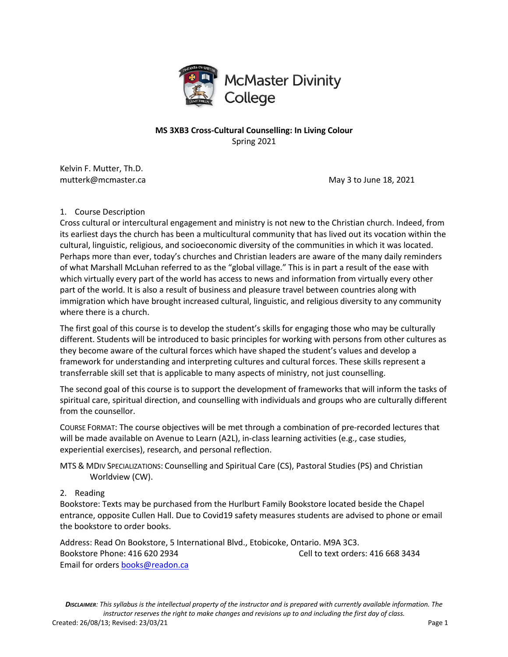

# **MS 3XB3 Cross-Cultural Counselling: In Living Colour** Spring 2021

Kelvin F. Mutter, Th.D.

mutterk@mcmaster.ca and the matter of the May 3 to June 18, 2021

#### 1. Course Description

Cross cultural or intercultural engagement and ministry is not new to the Christian church. Indeed, from its earliest days the church has been a multicultural community that has lived out its vocation within the cultural, linguistic, religious, and socioeconomic diversity of the communities in which it was located. Perhaps more than ever, today's churches and Christian leaders are aware of the many daily reminders of what Marshall McLuhan referred to as the "global village." This is in part a result of the ease with which virtually every part of the world has access to news and information from virtually every other part of the world. It is also a result of business and pleasure travel between countries along with immigration which have brought increased cultural, linguistic, and religious diversity to any community where there is a church.

The first goal of this course is to develop the student's skills for engaging those who may be culturally different. Students will be introduced to basic principles for working with persons from other cultures as they become aware of the cultural forces which have shaped the student's values and develop a framework for understanding and interpreting cultures and cultural forces. These skills represent a transferrable skill set that is applicable to many aspects of ministry, not just counselling.

The second goal of this course is to support the development of frameworks that will inform the tasks of spiritual care, spiritual direction, and counselling with individuals and groups who are culturally different from the counsellor.

COURSE FORMAT: The course objectives will be met through a combination of pre-recorded lectures that will be made available on Avenue to Learn (A2L), in-class learning activities (e.g., case studies, experiential exercises), research, and personal reflection.

MTS & MDIV SPECIALIZATIONS: Counselling and Spiritual Care (CS), Pastoral Studies (PS) and Christian Worldview (CW).

2. Reading

Bookstore: Texts may be purchased from the Hurlburt Family Bookstore located beside the Chapel entrance, opposite Cullen Hall. Due to Covid19 safety measures students are advised to phone or email the bookstore to order books.

Address: Read On Bookstore, 5 International Blvd., Etobicoke, Ontario. M9A 3C3. Bookstore Phone: 416 620 2934 Cell to text orders: 416 668 3434 Email for orders books@readon.ca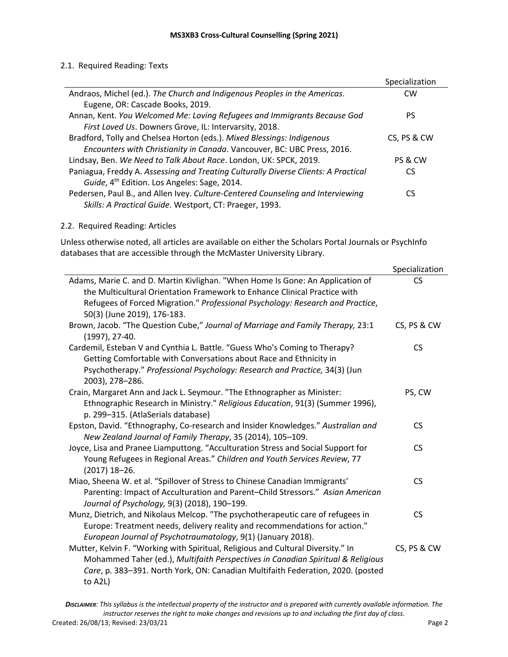### 2.1. Required Reading: Texts

|                                                                                    | Specialization |
|------------------------------------------------------------------------------------|----------------|
| Andraos, Michel (ed.). The Church and Indigenous Peoples in the Americas.          | CW             |
| Eugene, OR: Cascade Books, 2019.                                                   |                |
| Annan, Kent. You Welcomed Me: Loving Refugees and Immigrants Because God           | PS             |
| First Loved Us. Downers Grove, IL: Intervarsity, 2018.                             |                |
| Bradford, Tolly and Chelsea Horton (eds.). Mixed Blessings: Indigenous             | CS, PS & CW    |
| Encounters with Christianity in Canada. Vancouver, BC: UBC Press, 2016.            |                |
| Lindsay, Ben. We Need to Talk About Race. London, UK: SPCK, 2019.                  | PS & CW        |
| Paniagua, Freddy A. Assessing and Treating Culturally Diverse Clients: A Practical | CS             |
| Guide, 4 <sup>th</sup> Edition. Los Angeles: Sage, 2014.                           |                |
| Pedersen, Paul B., and Allen Ivey. Culture-Centered Counseling and Interviewing    | CS             |
| Skills: A Practical Guide. Westport, CT: Praeger, 1993.                            |                |

### 2.2. Required Reading: Articles

Unless otherwise noted, all articles are available on either the Scholars Portal Journals or PsychInfo databases that are accessible through the McMaster University Library.

|                                                                                                                                                                                                                                                                   | Specialization |
|-------------------------------------------------------------------------------------------------------------------------------------------------------------------------------------------------------------------------------------------------------------------|----------------|
| Adams, Marie C. and D. Martin Kivlighan. "When Home Is Gone: An Application of                                                                                                                                                                                    | <b>CS</b>      |
| the Multicultural Orientation Framework to Enhance Clinical Practice with                                                                                                                                                                                         |                |
| Refugees of Forced Migration." Professional Psychology: Research and Practice,<br>50(3) (June 2019), 176-183.                                                                                                                                                     |                |
| Brown, Jacob. "The Question Cube," Journal of Marriage and Family Therapy, 23:1<br>(1997), 27-40.                                                                                                                                                                 | CS, PS & CW    |
| Cardemil, Esteban V and Cynthia L. Battle. "Guess Who's Coming to Therapy?<br>Getting Comfortable with Conversations about Race and Ethnicity in<br>Psychotherapy." Professional Psychology: Research and Practice, 34(3) (Jun<br>2003), 278-286.                 | CS.            |
| Crain, Margaret Ann and Jack L. Seymour. "The Ethnographer as Minister:<br>Ethnographic Research in Ministry." Religious Education, 91(3) (Summer 1996),<br>p. 299-315. (AtlaSerials database)                                                                    | PS, CW         |
| Epston, David. "Ethnography, Co-research and Insider Knowledges." Australian and<br>New Zealand Journal of Family Therapy, 35 (2014), 105-109.                                                                                                                    | <b>CS</b>      |
| Joyce, Lisa and Pranee Liamputtong. "Acculturation Stress and Social Support for<br>Young Refugees in Regional Areas." Children and Youth Services Review, 77<br>$(2017)$ 18-26.                                                                                  | <b>CS</b>      |
| Miao, Sheena W. et al. "Spillover of Stress to Chinese Canadian Immigrants'<br>Parenting: Impact of Acculturation and Parent-Child Stressors." Asian American<br>Journal of Psychology, 9(3) (2018), 190-199.                                                     | <b>CS</b>      |
| Munz, Dietrich, and Nikolaus Melcop. "The psychotherapeutic care of refugees in<br>Europe: Treatment needs, delivery reality and recommendations for action."<br>European Journal of Psychotraumatology, 9(1) (January 2018).                                     | <b>CS</b>      |
| Mutter, Kelvin F. "Working with Spiritual, Religious and Cultural Diversity." In<br>Mohammed Taher (ed.), Multifaith Perspectives in Canadian Spiritual & Religious<br>Care, p. 383-391. North York, ON: Canadian Multifaith Federation, 2020. (posted<br>to A2L) | CS, PS & CW    |

*DISCLAIMER: This syllabus is the intellectual property of the instructor and is prepared with currently available information. The instructor reserves the right to make changes and revisions up to and including the first day of class.* Created: 26/08/13; Revised: 23/03/21 Page 2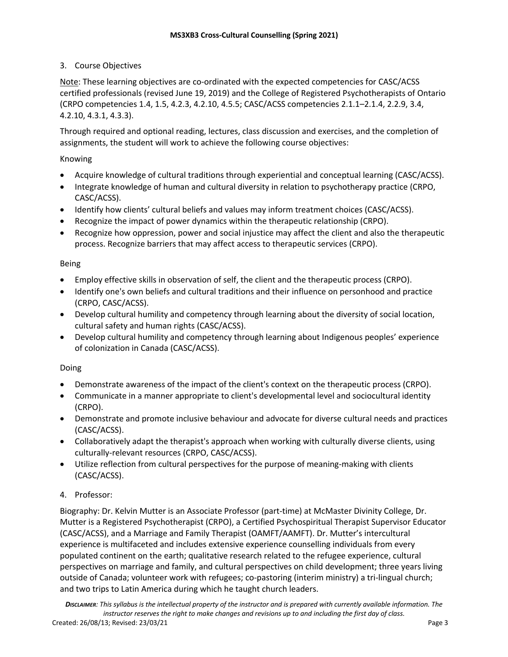# 3. Course Objectives

Note: These learning objectives are co-ordinated with the expected competencies for CASC/ACSS certified professionals (revised June 19, 2019) and the College of Registered Psychotherapists of Ontario (CRPO competencies 1.4, 1.5, 4.2.3, 4.2.10, 4.5.5; CASC/ACSS competencies 2.1.1–2.1.4, 2.2.9, 3.4, 4.2.10, 4.3.1, 4.3.3).

Through required and optional reading, lectures, class discussion and exercises, and the completion of assignments, the student will work to achieve the following course objectives:

## Knowing

- Acquire knowledge of cultural traditions through experiential and conceptual learning (CASC/ACSS).
- Integrate knowledge of human and cultural diversity in relation to psychotherapy practice (CRPO, CASC/ACSS).
- Identify how clients' cultural beliefs and values may inform treatment choices (CASC/ACSS).
- Recognize the impact of power dynamics within the therapeutic relationship (CRPO).
- Recognize how oppression, power and social injustice may affect the client and also the therapeutic process. Recognize barriers that may affect access to therapeutic services (CRPO).

### Being

- Employ effective skills in observation of self, the client and the therapeutic process (CRPO).
- Identify one's own beliefs and cultural traditions and their influence on personhood and practice (CRPO, CASC/ACSS).
- Develop cultural humility and competency through learning about the diversity of social location, cultural safety and human rights (CASC/ACSS).
- Develop cultural humility and competency through learning about Indigenous peoples' experience of colonization in Canada (CASC/ACSS).

#### Doing

- Demonstrate awareness of the impact of the client's context on the therapeutic process (CRPO).
- Communicate in a manner appropriate to client's developmental level and sociocultural identity (CRPO).
- Demonstrate and promote inclusive behaviour and advocate for diverse cultural needs and practices (CASC/ACSS).
- Collaboratively adapt the therapist's approach when working with culturally diverse clients, using culturally-relevant resources (CRPO, CASC/ACSS).
- Utilize reflection from cultural perspectives for the purpose of meaning-making with clients (CASC/ACSS).

## 4. Professor:

Biography: Dr. Kelvin Mutter is an Associate Professor (part-time) at McMaster Divinity College, Dr. Mutter is a Registered Psychotherapist (CRPO), a Certified Psychospiritual Therapist Supervisor Educator (CASC/ACSS), and a Marriage and Family Therapist (OAMFT/AAMFT). Dr. Mutter's intercultural experience is multifaceted and includes extensive experience counselling individuals from every populated continent on the earth; qualitative research related to the refugee experience, cultural perspectives on marriage and family, and cultural perspectives on child development; three years living outside of Canada; volunteer work with refugees; co-pastoring (interim ministry) a tri-lingual church; and two trips to Latin America during which he taught church leaders.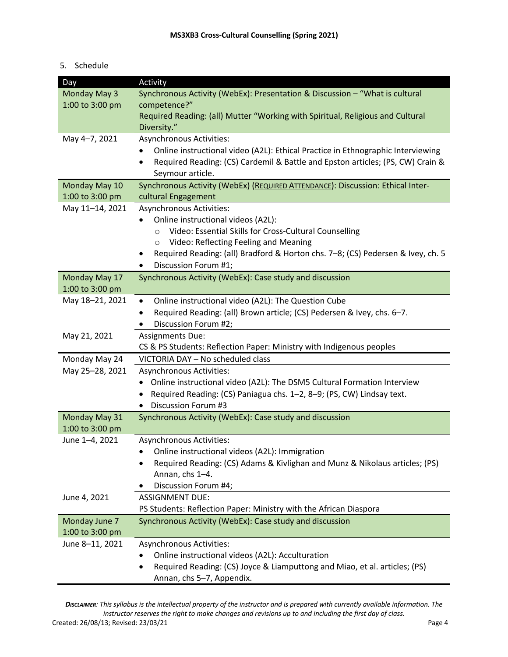### 5. Schedule

| Day             | Activity                                                                            |
|-----------------|-------------------------------------------------------------------------------------|
| Monday May 3    | Synchronous Activity (WebEx): Presentation & Discussion - "What is cultural         |
| 1:00 to 3:00 pm | competence?"                                                                        |
|                 | Required Reading: (all) Mutter "Working with Spiritual, Religious and Cultural      |
|                 | Diversity."                                                                         |
| May 4-7, 2021   | Asynchronous Activities:                                                            |
|                 | Online instructional video (A2L): Ethical Practice in Ethnographic Interviewing     |
|                 | Required Reading: (CS) Cardemil & Battle and Epston articles; (PS, CW) Crain &<br>٠ |
|                 | Seymour article.                                                                    |
| Monday May 10   | Synchronous Activity (WebEx) (REQUIRED ATTENDANCE): Discussion: Ethical Inter-      |
| 1:00 to 3:00 pm | cultural Engagement                                                                 |
| May 11-14, 2021 | Asynchronous Activities:                                                            |
|                 | Online instructional videos (A2L):                                                  |
|                 | Video: Essential Skills for Cross-Cultural Counselling<br>$\circ$                   |
|                 | Video: Reflecting Feeling and Meaning<br>$\circ$                                    |
|                 | Required Reading: (all) Bradford & Horton chs. 7-8; (CS) Pedersen & Ivey, ch. 5     |
|                 | Discussion Forum #1;<br>٠                                                           |
| Monday May 17   | Synchronous Activity (WebEx): Case study and discussion                             |
| 1:00 to 3:00 pm |                                                                                     |
| May 18-21, 2021 | Online instructional video (A2L): The Question Cube<br>$\bullet$                    |
|                 | Required Reading: (all) Brown article; (CS) Pedersen & Ivey, chs. 6-7.              |
|                 | Discussion Forum #2;                                                                |
| May 21, 2021    | <b>Assignments Due:</b>                                                             |
|                 | CS & PS Students: Reflection Paper: Ministry with Indigenous peoples                |
| Monday May 24   | VICTORIA DAY - No scheduled class                                                   |
| May 25-28, 2021 | Asynchronous Activities:                                                            |
|                 | • Online instructional video (A2L): The DSM5 Cultural Formation Interview           |
|                 | Required Reading: (CS) Paniagua chs. 1-2, 8-9; (PS, CW) Lindsay text.               |
|                 | Discussion Forum #3                                                                 |
| Monday May 31   | Synchronous Activity (WebEx): Case study and discussion                             |
| 1:00 to 3:00 pm |                                                                                     |
| June 1-4, 2021  | <b>Asynchronous Activities:</b>                                                     |
|                 | Online instructional videos (A2L): Immigration                                      |
|                 | Required Reading: (CS) Adams & Kivlighan and Munz & Nikolaus articles; (PS)         |
|                 | Annan, chs 1-4.                                                                     |
|                 | Discussion Forum #4;                                                                |
| June 4, 2021    | <b>ASSIGNMENT DUE:</b>                                                              |
|                 | PS Students: Reflection Paper: Ministry with the African Diaspora                   |
| Monday June 7   | Synchronous Activity (WebEx): Case study and discussion                             |
| 1:00 to 3:00 pm |                                                                                     |
| June 8-11, 2021 | <b>Asynchronous Activities:</b>                                                     |
|                 | Online instructional videos (A2L): Acculturation                                    |
|                 | Required Reading: (CS) Joyce & Liamputtong and Miao, et al. articles; (PS)<br>٠     |
|                 | Annan, chs 5-7, Appendix.                                                           |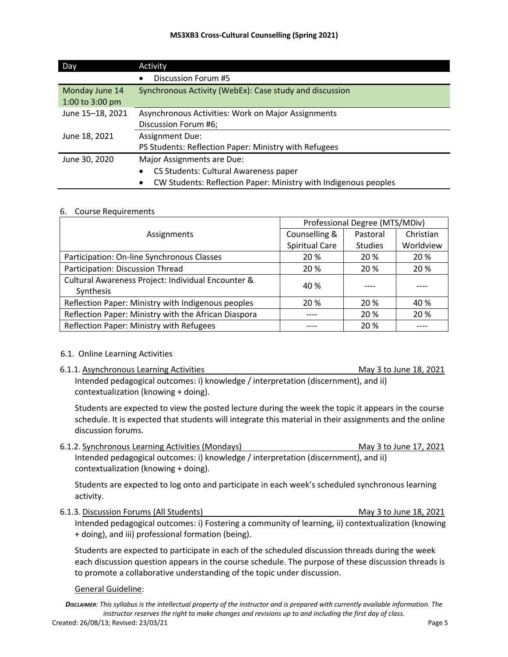| Day              | Activity                                                                     |
|------------------|------------------------------------------------------------------------------|
|                  | Discussion Forum #5                                                          |
| Monday June 14   | Synchronous Activity (WebEx): Case study and discussion                      |
| 1:00 to 3:00 pm  |                                                                              |
| June 15-18, 2021 | Asynchronous Activities: Work on Major Assignments                           |
|                  | Discussion Forum #6;                                                         |
| June 18, 2021    | <b>Assignment Due:</b>                                                       |
|                  | PS Students: Reflection Paper: Ministry with Refugees                        |
| June 30, 2020    | Major Assignments are Due:                                                   |
|                  | CS Students: Cultural Awareness paper                                        |
|                  | CW Students: Reflection Paper: Ministry with Indigenous peoples<br>$\bullet$ |

#### 6. Course Requirements

|                                                                 | Professional Degree (MTS/MDiv) |                |           |
|-----------------------------------------------------------------|--------------------------------|----------------|-----------|
| Assignments                                                     | Counselling &                  | Pastoral       | Christian |
|                                                                 | Spiritual Care                 | <b>Studies</b> | Worldview |
| Participation: On-line Synchronous Classes                      | 20 %                           | 20 %           | 20 %      |
| Participation: Discussion Thread                                | 20 %                           | 20 %           | 20 %      |
| Cultural Awareness Project: Individual Encounter &<br>Synthesis | 40 %                           |                |           |
| Reflection Paper: Ministry with Indigenous peoples              | 20 %                           | 20 %           | 40 %      |
| Reflection Paper: Ministry with the African Diaspora            |                                | 20 %           | 20 %      |
| Reflection Paper: Ministry with Refugees                        |                                | 20 %           |           |

#### 6.1. Online Learning Activities

6.1.1. Asynchronous Learning Activities May 3 to June 18, 2021

Intended pedagogical outcomes: i) knowledge / interpretation (discernment), and ii) contextualization (knowing + doing).

Students are expected to view the posted lecture during the week the topic it appears in the course schedule. It is expected that students will integrate this material in their assignments and the online discussion forums.

6.1.2. Synchronous Learning Activities (Mondays) May 3 to June 17, 2021 Intended pedagogical outcomes: i) knowledge / interpretation (discernment), and ii) contextualization (knowing + doing).

Students are expected to log onto and participate in each week's scheduled synchronous learning activity.

6.1.3. Discussion Forums (All Students) May 3 to June 18, 2021 Intended pedagogical outcomes: i) Fostering a community of learning, ii) contextualization (knowing + doing), and iii) professional formation (being).

Students are expected to participate in each of the scheduled discussion threads during the week each discussion question appears in the course schedule. The purpose of these discussion threads is to promote a collaborative understanding of the topic under discussion.

#### General Guideline: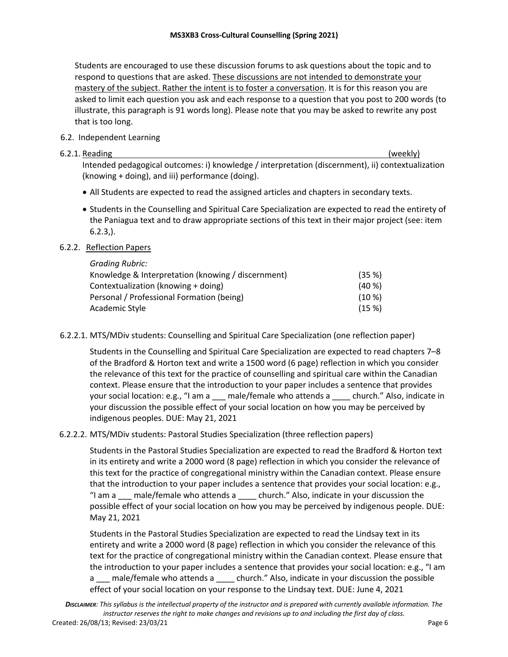Students are encouraged to use these discussion forums to ask questions about the topic and to respond to questions that are asked. These discussions are not intended to demonstrate your mastery of the subject. Rather the intent is to foster a conversation. It is for this reason you are asked to limit each question you ask and each response to a question that you post to 200 words (to illustrate, this paragraph is 91 words long). Please note that you may be asked to rewrite any post that is too long.

## 6.2. Independent Learning

### 6.2.1. Reading (weekly)

Intended pedagogical outcomes: i) knowledge / interpretation (discernment), ii) contextualization (knowing + doing), and iii) performance (doing).

- All Students are expected to read the assigned articles and chapters in secondary texts.
- Students in the Counselling and Spiritual Care Specialization are expected to read the entirety of the Paniagua text and to draw appropriate sections of this text in their major project (see: item  $6.2.3$ .).

## 6.2.2. Reflection Papers

| <b>Grading Rubric:</b>                             |           |
|----------------------------------------------------|-----------|
| Knowledge & Interpretation (knowing / discernment) | (35%)     |
| Contextualization (knowing + doing)                | $(40\%)$  |
| Personal / Professional Formation (being)          | $(10 \%)$ |
| Academic Style                                     | (15%)     |

6.2.2.1. MTS/MDiv students: Counselling and Spiritual Care Specialization (one reflection paper)

Students in the Counselling and Spiritual Care Specialization are expected to read chapters 7–8 of the Bradford & Horton text and write a 1500 word (6 page) reflection in which you consider the relevance of this text for the practice of counselling and spiritual care within the Canadian context. Please ensure that the introduction to your paper includes a sentence that provides your social location: e.g., "I am a \_\_\_ male/female who attends a \_\_\_\_ church." Also, indicate in your discussion the possible effect of your social location on how you may be perceived by indigenous peoples. DUE: May 21, 2021

# 6.2.2.2. MTS/MDiv students: Pastoral Studies Specialization (three reflection papers)

Students in the Pastoral Studies Specialization are expected to read the Bradford & Horton text in its entirety and write a 2000 word (8 page) reflection in which you consider the relevance of this text for the practice of congregational ministry within the Canadian context. Please ensure that the introduction to your paper includes a sentence that provides your social location: e.g., "I am a \_\_\_ male/female who attends a \_\_\_\_ church." Also, indicate in your discussion the possible effect of your social location on how you may be perceived by indigenous people. DUE: May 21, 2021

Students in the Pastoral Studies Specialization are expected to read the Lindsay text in its entirety and write a 2000 word (8 page) reflection in which you consider the relevance of this text for the practice of congregational ministry within the Canadian context. Please ensure that the introduction to your paper includes a sentence that provides your social location: e.g., "I am a \_\_\_ male/female who attends a \_\_\_\_ church." Also, indicate in your discussion the possible effect of your social location on your response to the Lindsay text. DUE: June 4, 2021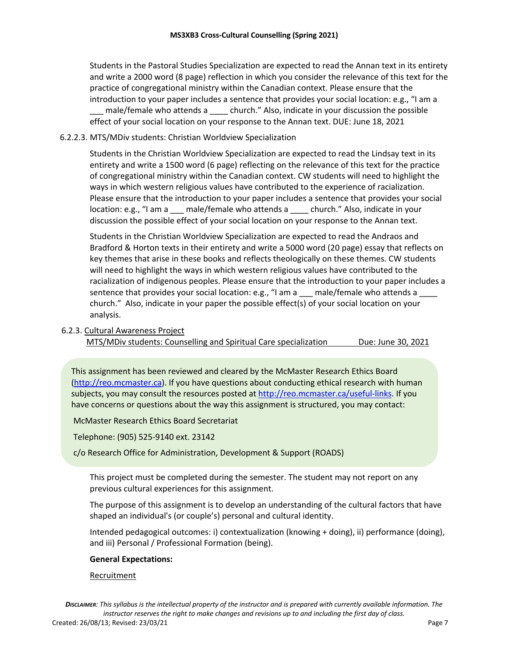Students in the Pastoral Studies Specialization are expected to read the Annan text in its entirety and write a 2000 word (8 page) reflection in which you consider the relevance of this text for the practice of congregational ministry within the Canadian context. Please ensure that the introduction to your paper includes a sentence that provides your social location: e.g., "I am a male/female who attends a \_\_\_\_ church." Also, indicate in your discussion the possible effect of your social location on your response to the Annan text. DUE: June 18, 2021

#### 6.2.2.3. MTS/MDiv students: Christian Worldview Specialization

Students in the Christian Worldview Specialization are expected to read the Lindsay text in its entirety and write a 1500 word (6 page) reflecting on the relevance of this text for the practice of congregational ministry within the Canadian context. CW students will need to highlight the ways in which western religious values have contributed to the experience of racialization. Please ensure that the introduction to your paper includes a sentence that provides your social location: e.g., "I am a \_\_\_ male/female who attends a \_\_\_\_ church." Also, indicate in your discussion the possible effect of your social location on your response to the Annan text.

Students in the Christian Worldview Specialization are expected to read the Andraos and Bradford & Horton texts in their entirety and write a 5000 word (20 page) essay that reflects on key themes that arise in these books and reflects theologically on these themes. CW students will need to highlight the ways in which western religious values have contributed to the racialization of indigenous peoples. Please ensure that the introduction to your paper includes a sentence that provides your social location: e.g., "I am a \_\_\_ male/female who attends a church." Also, indicate in your paper the possible effect(s) of your social location on your analysis.

#### 6.2.3. Cultural Awareness Project

MTS/MDiv students: Counselling and Spiritual Care specialization Due: June 30, 2021

This assignment has been reviewed and cleared by the McMaster Research Ethics Board (http://reo.mcmaster.ca). If you have questions about conducting ethical research with human subjects, you may consult the resources posted at http://reo.mcmaster.ca/useful-links. If you have concerns or questions about the way this assignment is structured, you may contact:

McMaster Research Ethics Board Secretariat

Telephone: (905) 525-9140 ext. 23142

c/o Research Office for Administration, Development & Support (ROADS)

This project must be completed during the semester. The student may not report on any previous cultural experiences for this assignment.

The purpose of this assignment is to develop an understanding of the cultural factors that have shaped an individual's (or couple's) personal and cultural identity.

Intended pedagogical outcomes: i) contextualization (knowing + doing), ii) performance (doing), and iii) Personal / Professional Formation (being).

#### **General Expectations:**

#### Recruitment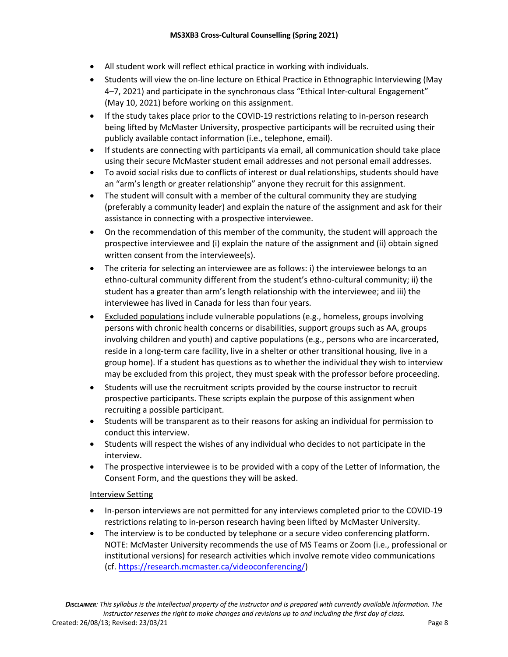- All student work will reflect ethical practice in working with individuals.
- Students will view the on-line lecture on Ethical Practice in Ethnographic Interviewing (May 4–7, 2021) and participate in the synchronous class "Ethical Inter-cultural Engagement" (May 10, 2021) before working on this assignment.
- If the study takes place prior to the COVID-19 restrictions relating to in-person research being lifted by McMaster University, prospective participants will be recruited using their publicly available contact information (i.e., telephone, email).
- If students are connecting with participants via email, all communication should take place using their secure McMaster student email addresses and not personal email addresses.
- To avoid social risks due to conflicts of interest or dual relationships, students should have an "arm's length or greater relationship" anyone they recruit for this assignment.
- The student will consult with a member of the cultural community they are studying (preferably a community leader) and explain the nature of the assignment and ask for their assistance in connecting with a prospective interviewee.
- On the recommendation of this member of the community, the student will approach the prospective interviewee and (i) explain the nature of the assignment and (ii) obtain signed written consent from the interviewee(s).
- The criteria for selecting an interviewee are as follows: i) the interviewee belongs to an ethno-cultural community different from the student's ethno-cultural community; ii) the student has a greater than arm's length relationship with the interviewee; and iii) the interviewee has lived in Canada for less than four years.
- Excluded populations include vulnerable populations (e.g., homeless, groups involving persons with chronic health concerns or disabilities, support groups such as AA, groups involving children and youth) and captive populations (e.g., persons who are incarcerated, reside in a long-term care facility, live in a shelter or other transitional housing, live in a group home). If a student has questions as to whether the individual they wish to interview may be excluded from this project, they must speak with the professor before proceeding.
- Students will use the recruitment scripts provided by the course instructor to recruit prospective participants. These scripts explain the purpose of this assignment when recruiting a possible participant.
- Students will be transparent as to their reasons for asking an individual for permission to conduct this interview.
- Students will respect the wishes of any individual who decides to not participate in the interview.
- The prospective interviewee is to be provided with a copy of the Letter of Information, the Consent Form, and the questions they will be asked.

## Interview Setting

- In-person interviews are not permitted for any interviews completed prior to the COVID-19 restrictions relating to in-person research having been lifted by McMaster University.
- The interview is to be conducted by telephone or a secure video conferencing platform. NOTE: McMaster University recommends the use of MS Teams or Zoom (i.e., professional or institutional versions) for research activities which involve remote video communications (cf. https://research.mcmaster.ca/videoconferencing/)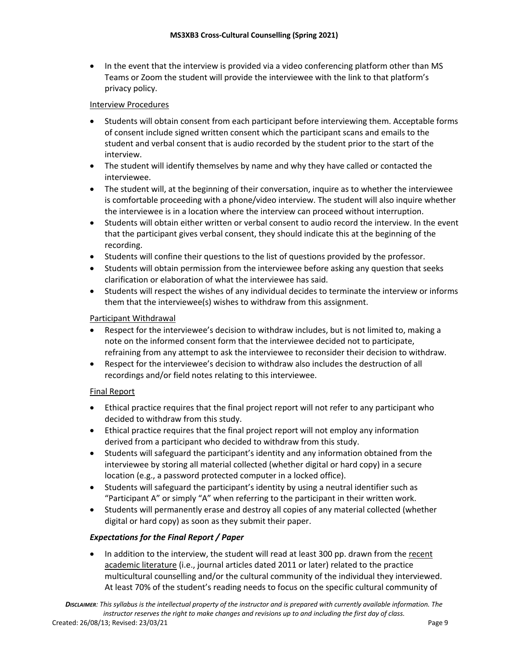• In the event that the interview is provided via a video conferencing platform other than MS Teams or Zoom the student will provide the interviewee with the link to that platform's privacy policy.

## Interview Procedures

- Students will obtain consent from each participant before interviewing them. Acceptable forms of consent include signed written consent which the participant scans and emails to the student and verbal consent that is audio recorded by the student prior to the start of the interview.
- The student will identify themselves by name and why they have called or contacted the interviewee.
- The student will, at the beginning of their conversation, inquire as to whether the interviewee is comfortable proceeding with a phone/video interview. The student will also inquire whether the interviewee is in a location where the interview can proceed without interruption.
- Students will obtain either written or verbal consent to audio record the interview. In the event that the participant gives verbal consent, they should indicate this at the beginning of the recording.
- Students will confine their questions to the list of questions provided by the professor.
- Students will obtain permission from the interviewee before asking any question that seeks clarification or elaboration of what the interviewee has said.
- Students will respect the wishes of any individual decides to terminate the interview or informs them that the interviewee(s) wishes to withdraw from this assignment.

## Participant Withdrawal

- Respect for the interviewee's decision to withdraw includes, but is not limited to, making a note on the informed consent form that the interviewee decided not to participate, refraining from any attempt to ask the interviewee to reconsider their decision to withdraw.
- Respect for the interviewee's decision to withdraw also includes the destruction of all recordings and/or field notes relating to this interviewee.

## Final Report

- Ethical practice requires that the final project report will not refer to any participant who decided to withdraw from this study.
- Ethical practice requires that the final project report will not employ any information derived from a participant who decided to withdraw from this study.
- Students will safeguard the participant's identity and any information obtained from the interviewee by storing all material collected (whether digital or hard copy) in a secure location (e.g., a password protected computer in a locked office).
- Students will safeguard the participant's identity by using a neutral identifier such as "Participant A" or simply "A" when referring to the participant in their written work.
- Students will permanently erase and destroy all copies of any material collected (whether digital or hard copy) as soon as they submit their paper.

## *Expectations for the Final Report / Paper*

• In addition to the interview, the student will read at least 300 pp. drawn from the recent academic literature (i.e., journal articles dated 2011 or later) related to the practice multicultural counselling and/or the cultural community of the individual they interviewed. At least 70% of the student's reading needs to focus on the specific cultural community of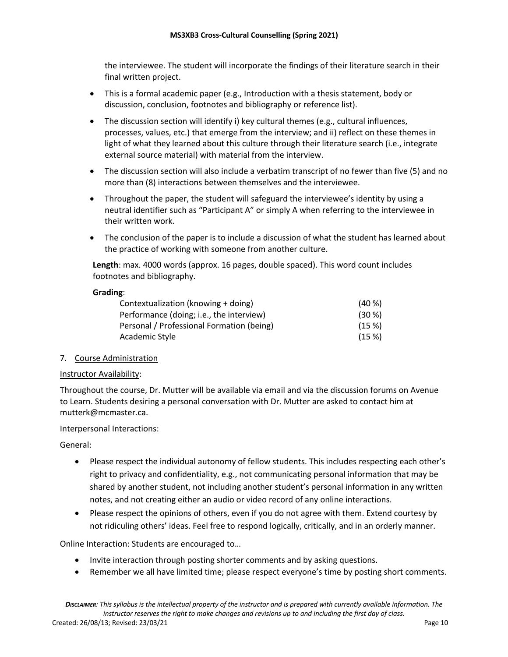the interviewee. The student will incorporate the findings of their literature search in their final written project.

- This is a formal academic paper (e.g., Introduction with a thesis statement, body or discussion, conclusion, footnotes and bibliography or reference list).
- The discussion section will identify i) key cultural themes (e.g., cultural influences, processes, values, etc.) that emerge from the interview; and ii) reflect on these themes in light of what they learned about this culture through their literature search (i.e., integrate external source material) with material from the interview.
- The discussion section will also include a verbatim transcript of no fewer than five (5) and no more than (8) interactions between themselves and the interviewee.
- Throughout the paper, the student will safeguard the interviewee's identity by using a neutral identifier such as "Participant A" or simply A when referring to the interviewee in their written work.
- The conclusion of the paper is to include a discussion of what the student has learned about the practice of working with someone from another culture.

**Length**: max. 4000 words (approx. 16 pages, double spaced). This word count includes footnotes and bibliography.

### **Grading**:

| Contextualization (knowing + doing)       | $(40\%)$ |
|-------------------------------------------|----------|
| Performance (doing; i.e., the interview)  | $(30\%)$ |
| Personal / Professional Formation (being) | (15%)    |
| Academic Style                            | (15%)    |

## 7. Course Administration

#### Instructor Availability:

Throughout the course, Dr. Mutter will be available via email and via the discussion forums on Avenue to Learn. Students desiring a personal conversation with Dr. Mutter are asked to contact him at mutterk@mcmaster.ca.

## Interpersonal Interactions:

General:

- Please respect the individual autonomy of fellow students. This includes respecting each other's right to privacy and confidentiality, e.g., not communicating personal information that may be shared by another student, not including another student's personal information in any written notes, and not creating either an audio or video record of any online interactions.
- Please respect the opinions of others, even if you do not agree with them. Extend courtesy by not ridiculing others' ideas. Feel free to respond logically, critically, and in an orderly manner.

Online Interaction: Students are encouraged to…

- Invite interaction through posting shorter comments and by asking questions.
- Remember we all have limited time; please respect everyone's time by posting short comments.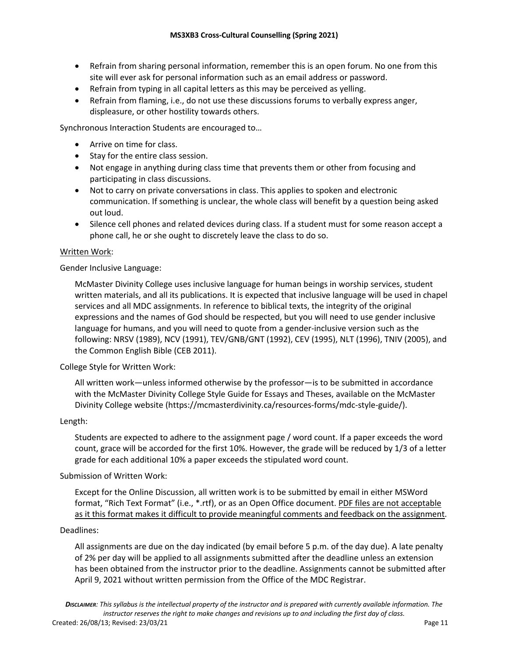- Refrain from sharing personal information, remember this is an open forum. No one from this site will ever ask for personal information such as an email address or password.
- Refrain from typing in all capital letters as this may be perceived as yelling.
- Refrain from flaming, i.e., do not use these discussions forums to verbally express anger, displeasure, or other hostility towards others.

Synchronous Interaction Students are encouraged to…

- Arrive on time for class.
- Stay for the entire class session.
- Not engage in anything during class time that prevents them or other from focusing and participating in class discussions.
- Not to carry on private conversations in class. This applies to spoken and electronic communication. If something is unclear, the whole class will benefit by a question being asked out loud.
- Silence cell phones and related devices during class. If a student must for some reason accept a phone call, he or she ought to discretely leave the class to do so.

#### Written Work:

Gender Inclusive Language:

McMaster Divinity College uses inclusive language for human beings in worship services, student written materials, and all its publications. It is expected that inclusive language will be used in chapel services and all MDC assignments. In reference to biblical texts, the integrity of the original expressions and the names of God should be respected, but you will need to use gender inclusive language for humans, and you will need to quote from a gender-inclusive version such as the following: NRSV (1989), NCV (1991), TEV/GNB/GNT (1992), CEV (1995), NLT (1996), TNIV (2005), and the Common English Bible (CEB 2011).

#### College Style for Written Work:

All written work—unless informed otherwise by the professor—is to be submitted in accordance with the McMaster Divinity College Style Guide for Essays and Theses, available on the McMaster Divinity College website (https://mcmasterdivinity.ca/resources-forms/mdc-style-guide/).

#### Length:

Students are expected to adhere to the assignment page / word count. If a paper exceeds the word count, grace will be accorded for the first 10%. However, the grade will be reduced by 1/3 of a letter grade for each additional 10% a paper exceeds the stipulated word count.

#### Submission of Written Work:

Except for the Online Discussion, all written work is to be submitted by email in either MSWord format, "Rich Text Format" (i.e., \*.rtf), or as an Open Office document. PDF files are not acceptable as it this format makes it difficult to provide meaningful comments and feedback on the assignment.

#### Deadlines:

All assignments are due on the day indicated (by email before 5 p.m. of the day due). A late penalty of 2% per day will be applied to all assignments submitted after the deadline unless an extension has been obtained from the instructor prior to the deadline. Assignments cannot be submitted after April 9, 2021 without written permission from the Office of the MDC Registrar.